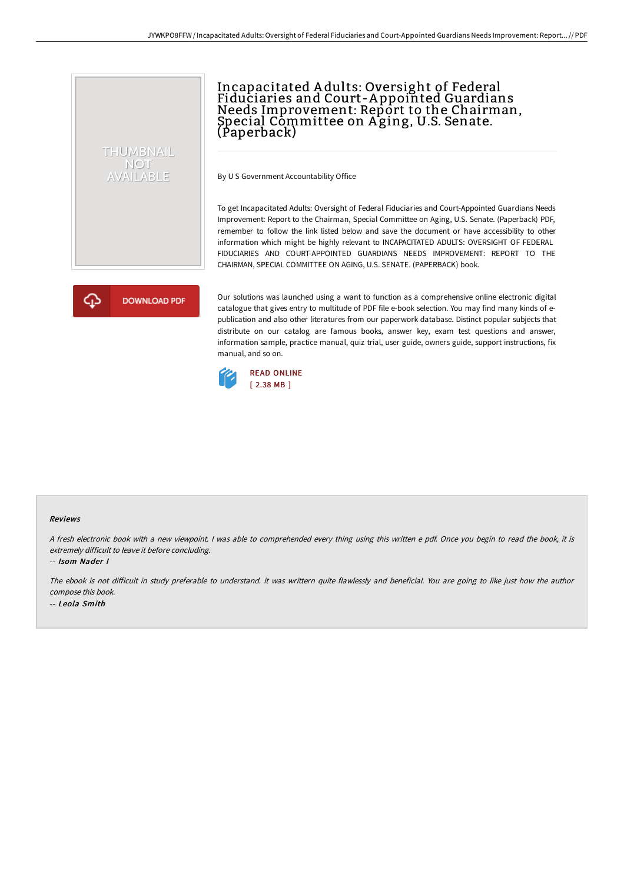# THUMBNAIL **NOT** AVAILABLE

# Incapacitated A dults: Oversight of Federal Fiduciaries and Court-A ppointed Guardians Needs Improvement: Report to the Chairman, Special Committee on A ging, U.S. Senate. (Paperback)

By U S Government Accountability Office

To get Incapacitated Adults: Oversight of Federal Fiduciaries and Court-Appointed Guardians Needs Improvement: Report to the Chairman, Special Committee on Aging, U.S. Senate. (Paperback) PDF, remember to follow the link listed below and save the document or have accessibility to other information which might be highly relevant to INCAPACITATED ADULTS: OVERSIGHT OF FEDERAL FIDUCIARIES AND COURT-APPOINTED GUARDIANS NEEDS IMPROVEMENT: REPORT TO THE CHAIRMAN, SPECIAL COMMITTEE ON AGING, U.S. SENATE. (PAPERBACK) book.

**DOWNLOAD PDF** 

Our solutions was launched using a want to function as a comprehensive online electronic digital catalogue that gives entry to multitude of PDF file e-book selection. You may find many kinds of epublication and also other literatures from our paperwork database. Distinct popular subjects that distribute on our catalog are famous books, answer key, exam test questions and answer, information sample, practice manual, quiz trial, user guide, owners guide, support instructions, fix manual, and so on.



#### Reviews

<sup>A</sup> fresh electronic book with <sup>a</sup> new viewpoint. <sup>I</sup> was able to comprehended every thing using this written <sup>e</sup> pdf. Once you begin to read the book, it is extremely difficult to leave it before concluding.

-- Isom Nader I

The ebook is not difficult in study preferable to understand. it was writtern quite flawlessly and beneficial. You are going to like just how the author compose this book. -- Leola Smith